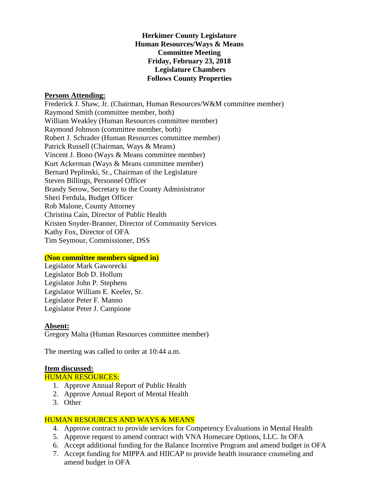**Herkimer County Legislature Human Resources/Ways & Means Committee Meeting Friday, February 23, 2018 Legislature Chambers Follows County Properties**

#### **Persons Attending:**

Frederick J. Shaw, Jr. (Chairman, Human Resources/W&M committee member) Raymond Smith (committee member, both) William Weakley (Human Resources committee member) Raymond Johnson (committee member, both) Robert J. Schrader (Human Resources committee member) Patrick Russell (Chairman, Ways & Means) Vincent J. Bono (Ways & Means committee member) Kurt Ackerman (Ways & Means committee member) Bernard Peplinski, Sr., Chairman of the Legislature Steven Billings, Personnel Officer Brandy Serow, Secretary to the County Administrator Sheri Ferdula, Budget Officer Rob Malone, County Attorney Christina Cain, Director of Public Health Kristen Snyder-Branner, Director of Community Services Kathy Fox, Director of OFA Tim Seymour, Commissioner, DSS

#### **(Non committee members signed in)**

Legislator Mark Gaworecki Legislator Bob D. Hollum Legislator John P. Stephens Legislator William E. Keeler, Sr. Legislator Peter F. Manno Legislator Peter J. Campione

#### **Absent:**

Gregory Malta (Human Resources committee member)

The meeting was called to order at 10:44 a.m.

# **Item discussed:**

#### HUMAN RESOURCES:

- 1. Approve Annual Report of Public Health
- 2. Approve Annual Report of Mental Health
- 3. Other

# HUMAN RESOURCES AND WAYS & MEANS

- 4. Approve contract to provide services for Competency Evaluations in Mental Health
- 5. Approve request to amend contract with VNA Homecare Options, LLC. In OFA
- 6. Accept additional funding for the Balance Incentive Program and amend budget in OFA
- 7. Accept funding for MIPPA and HIICAP to provide health insurance counseling and amend budget in OFA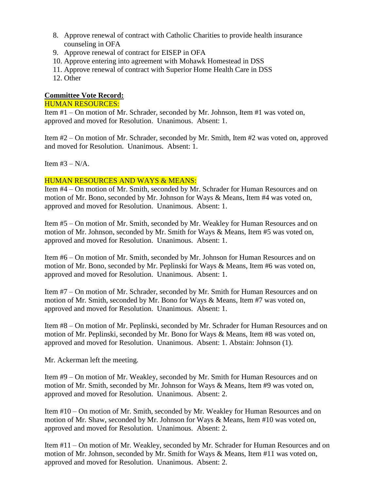- 8. Approve renewal of contract with Catholic Charities to provide health insurance counseling in OFA
- 9. Approve renewal of contract for EISEP in OFA
- 10. Approve entering into agreement with Mohawk Homestead in DSS
- 11. Approve renewal of contract with Superior Home Health Care in DSS
- 12. Other

## **Committee Vote Record:**

#### HUMAN RESOURCES:

Item #1 – On motion of Mr. Schrader, seconded by Mr. Johnson, Item #1 was voted on, approved and moved for Resolution. Unanimous. Absent: 1.

Item #2 – On motion of Mr. Schrader, seconded by Mr. Smith, Item #2 was voted on, approved and moved for Resolution. Unanimous. Absent: 1.

Item  $#3 - N/A$ .

### HUMAN RESOURCES AND WAYS & MEANS:

Item #4 – On motion of Mr. Smith, seconded by Mr. Schrader for Human Resources and on motion of Mr. Bono, seconded by Mr. Johnson for Ways & Means, Item #4 was voted on, approved and moved for Resolution. Unanimous. Absent: 1.

Item #5 – On motion of Mr. Smith, seconded by Mr. Weakley for Human Resources and on motion of Mr. Johnson, seconded by Mr. Smith for Ways & Means, Item #5 was voted on, approved and moved for Resolution. Unanimous. Absent: 1.

Item #6 – On motion of Mr. Smith, seconded by Mr. Johnson for Human Resources and on motion of Mr. Bono, seconded by Mr. Peplinski for Ways & Means, Item #6 was voted on, approved and moved for Resolution. Unanimous. Absent: 1.

Item #7 – On motion of Mr. Schrader, seconded by Mr. Smith for Human Resources and on motion of Mr. Smith, seconded by Mr. Bono for Ways & Means, Item #7 was voted on, approved and moved for Resolution. Unanimous. Absent: 1.

Item #8 – On motion of Mr. Peplinski, seconded by Mr. Schrader for Human Resources and on motion of Mr. Peplinski, seconded by Mr. Bono for Ways & Means, Item #8 was voted on, approved and moved for Resolution. Unanimous. Absent: 1. Abstain: Johnson (1).

Mr. Ackerman left the meeting.

Item #9 – On motion of Mr. Weakley, seconded by Mr. Smith for Human Resources and on motion of Mr. Smith, seconded by Mr. Johnson for Ways & Means, Item #9 was voted on, approved and moved for Resolution. Unanimous. Absent: 2.

Item #10 – On motion of Mr. Smith, seconded by Mr. Weakley for Human Resources and on motion of Mr. Shaw, seconded by Mr. Johnson for Ways & Means, Item #10 was voted on, approved and moved for Resolution. Unanimous. Absent: 2.

Item #11 – On motion of Mr. Weakley, seconded by Mr. Schrader for Human Resources and on motion of Mr. Johnson, seconded by Mr. Smith for Ways & Means, Item #11 was voted on, approved and moved for Resolution. Unanimous. Absent: 2.